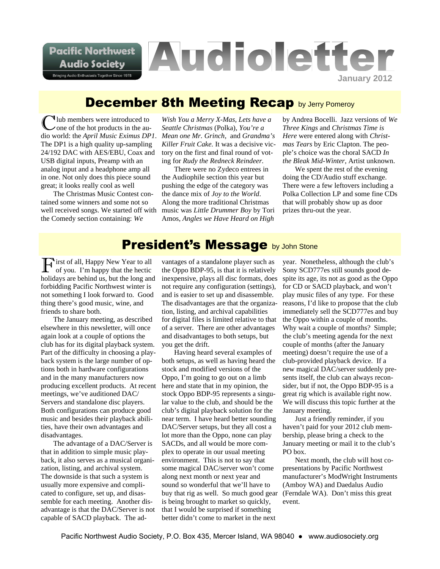**Pacific Northwest Audio Society** 

**Bringing Audio Enthusiasts Together Since 1978** 

# **Audioletter January 2012**

## **December 8th Meeting Recap by Jerry Pomeroy**

Iub members were introduced to one of the hot products in the audio world: the *April Music Eximus DP1*. The DP1 is a high quality up-sampling 24/192 DAC with AES/EBU, Coax and USB digital inputs, Preamp with an analog input and a headphone amp all in one. Not only does this piece sound great; it looks really cool as well

The Christmas Music Contest contained some winners and some not so well received songs. We started off with the Comedy section containing: *We*

*Wish You a Merry X-Mas, Lets have a Seattle Christmas* (Polka), *You're a Mean one Mr. Grinch*, and *Grandma's Killer Fruit Cake.* It was a decisive victory on the first and final round of voting for *Rudy the Redneck Reindeer.*

There were no Zydeco entrees in the Audiophile section this year but pushing the edge of the category was the dance mix of *Joy to the World*. Along the more traditional Christmas music was *Little Drummer Boy* by Tori Amos, *Angles we Have Heard on High*

by Andrea Bocelli. Jazz versions of *We Three Kings* and *Christmas Time is Here* were entered along with *Christmas Tears* by Eric Clapton. The people's choice was the choral SACD *In the Bleak Mid-Winter*, Artist unknown.

We spent the rest of the evening doing the CD/Audio stuff exchange. There were a few leftovers including a Polka Collection LP and some fine CDs that will probably show up as door prizes thru-out the year.

## **President's Message by John Stone**

I irst of all, Happy New Year to all of you. I'm happy that the hectic holidays are behind us, but the long and forbidding Pacific Northwest winter is not something I look forward to. Good thing there's good music, wine, and friends to share both.

The January meeting, as described elsewhere in this newsletter, will once again look at a couple of options the club has for its digital playback system. Part of the difficulty in choosing a playback system is the large number of options both in hardware configurations and in the many manufacturers now producing excellent products. At recent meetings, we've auditioned DAC/ Servers and standalone disc players. Both configurations can produce good music and besides their playback abilities, have their own advantages and disadvantages.

The advantage of a DAC/Server is that in addition to simple music playback, it also serves as a musical organization, listing, and archival system. The downside is that such a system is usually more expensive and complicated to configure, set up, and disassemble for each meeting. Another disadvantage is that the DAC/Server is not capable of SACD playback. The ad-

vantages of a standalone player such as the Oppo BDP-95, is that it is relatively inexpensive, plays all disc formats, does not require any configuration (settings), and is easier to set up and disassemble. The disadvantages are that the organization, listing, and archival capabilities for digital files is limited relative to that of a server. There are other advantages and disadvantages to both setups, but you get the drift.

Having heard several examples of both setups, as well as having heard the stock and modified versions of the Oppo, I'm going to go out on a limb here and state that in my opinion, the stock Oppo BDP-95 represents a singular value to the club, and should be the club's digital playback solution for the near term. I have heard better sounding DAC/Server setups, but they all cost a lot more than the Oppo, none can play SACDs, and all would be more complex to operate in our usual meeting environment. This is not to say that some magical DAC/server won't come along next month or next year and sound so wonderful that we'll have to buy that rig as well. So much good gear (Ferndale WA). Don't miss this great is being brought to market so quickly, that I would be surprised if something better didn't come to market in the next

year. Nonetheless, although the club's Sony SCD777es still sounds good despite its age, its not as good as the Oppo for CD or SACD playback, and won't play music files of any type. For these reasons, I'd like to propose that the club immediately sell the SCD777es and buy the Oppo within a couple of months. Why wait a couple of months? Simple; the club's meeting agenda for the next couple of months (after the January meeting) doesn't require the use of a club-provided playback device. If a new magical DAC/server suddenly presents itself, the club can always reconsider, but if not, the Oppo BDP-95 is a great rig which is available right now. We will discuss this topic further at the January meeting.

Just a friendly reminder, if you haven't paid for your 2012 club membership, please bring a check to the January meeting or mail it to the club's PO box.

Next month, the club will host copresentations by Pacific Northwest manufacturer's ModWright Instruments (Amboy WA) and Daedalus Audio event.